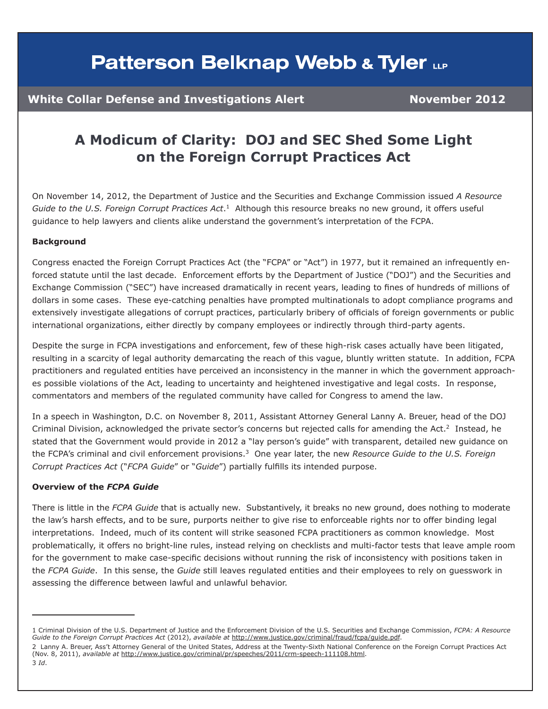### **Patterson Belknap Webb & Tyler LLP**

### **White Collar Defense and Investigations Alert Manual Movember 2012**

### **A Modicum of Clarity: DOJ and SEC Shed Some Light on the Foreign Corrupt Practices Act**

On November 14, 2012, the Department of Justice and the Securities and Exchange Commission issued *A Resource Guide to the U.S. Foreign Corrupt Practices Act*. 1 Although this resource breaks no new ground, it offers useful guidance to help lawyers and clients alike understand the government's interpretation of the FCPA.

#### **Background**

Congress enacted the Foreign Corrupt Practices Act (the "FCPA" or "Act") in 1977, but it remained an infrequently enforced statute until the last decade. Enforcement efforts by the Department of Justice ("DOJ") and the Securities and Exchange Commission ("SEC") have increased dramatically in recent years, leading to fines of hundreds of millions of dollars in some cases. These eye-catching penalties have prompted multinationals to adopt compliance programs and extensively investigate allegations of corrupt practices, particularly bribery of officials of foreign governments or public international organizations, either directly by company employees or indirectly through third-party agents.

Despite the surge in FCPA investigations and enforcement, few of these high-risk cases actually have been litigated, resulting in a scarcity of legal authority demarcating the reach of this vague, bluntly written statute. In addition, FCPA practitioners and regulated entities have perceived an inconsistency in the manner in which the government approaches possible violations of the Act, leading to uncertainty and heightened investigative and legal costs. In response, commentators and members of the regulated community have called for Congress to amend the law.

In a speech in Washington, D.C. on November 8, 2011, Assistant Attorney General Lanny A. Breuer, head of the DOJ Criminal Division, acknowledged the private sector's concerns but rejected calls for amending the Act.<sup>2</sup> Instead, he stated that the Government would provide in 2012 a "lay person's guide" with transparent, detailed new guidance on the FCPA's criminal and civil enforcement provisions.3 One year later, the new *Resource Guide to the U.S. Foreign Corrupt Practices Act* ("*FCPA Guide*" or "*Guide*") partially fulfills its intended purpose.

#### **Overview of the** *FCPA Guide*

There is little in the *FCPA Guide* that is actually new. Substantively, it breaks no new ground, does nothing to moderate the law's harsh effects, and to be sure, purports neither to give rise to enforceable rights nor to offer binding legal interpretations. Indeed, much of its content will strike seasoned FCPA practitioners as common knowledge. Most problematically, it offers no bright-line rules, instead relying on checklists and multi-factor tests that leave ample room for the government to make case-specific decisions without running the risk of inconsistency with positions taken in the *FCPA Guide*. In this sense, the *Guide* still leaves regulated entities and their employees to rely on guesswork in assessing the difference between lawful and unlawful behavior.

<sup>1</sup> Criminal Division of the U.S. Department of Justice and the Enforcement Division of the U.S. Securities and Exchange Commission, *FCPA: A Resource Guide to the Foreign Corrupt Practices Act* (2012), *available at* [http://www.justice.gov/criminal/fraud/fcpa/guide.pdf.](http://www.justice.gov/criminal/fraud/fcpa/guide.pdf)

<sup>2</sup> Lanny A. Breuer, Ass't Attorney General of the United States, Address at the Twenty-Sixth National Conference on the Foreign Corrupt Practices Act (Nov. 8, 2011), *available at* [http://www.justice.gov/criminal/pr/speeches/2011/crm-speech-111108.html.](http://www.justice.gov/criminal/pr/speeches/2011/crm-speech-111108.html) 3 *Id*.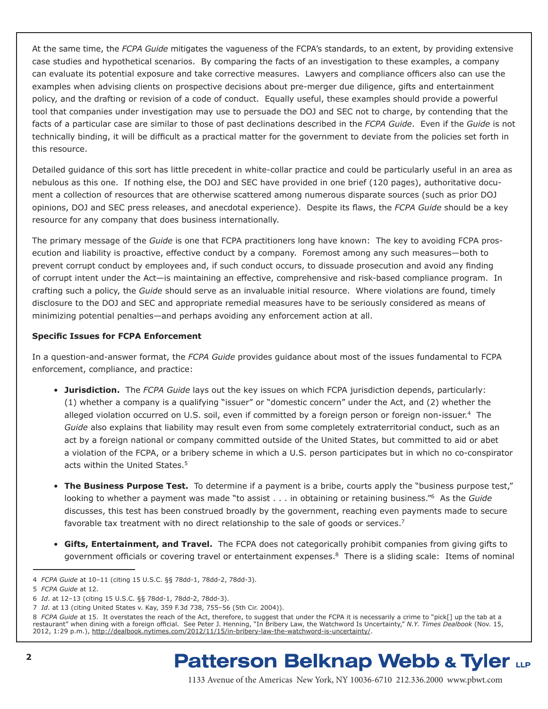At the same time, the *FCPA Guide* mitigates the vagueness of the FCPA's standards, to an extent, by providing extensive case studies and hypothetical scenarios. By comparing the facts of an investigation to these examples, a company can evaluate its potential exposure and take corrective measures. Lawyers and compliance officers also can use the examples when advising clients on prospective decisions about pre-merger due diligence, gifts and entertainment policy, and the drafting or revision of a code of conduct. Equally useful, these examples should provide a powerful tool that companies under investigation may use to persuade the DOJ and SEC not to charge, by contending that the facts of a particular case are similar to those of past declinations described in the *FCPA Guide*. Even if the *Guide* is not technically binding, it will be difficult as a practical matter for the government to deviate from the policies set forth in this resource.

Detailed guidance of this sort has little precedent in white-collar practice and could be particularly useful in an area as nebulous as this one. If nothing else, the DOJ and SEC have provided in one brief (120 pages), authoritative document a collection of resources that are otherwise scattered among numerous disparate sources (such as prior DOJ opinions, DOJ and SEC press releases, and anecdotal experience). Despite its flaws, the *FCPA Guide* should be a key resource for any company that does business internationally.

The primary message of the *Guide* is one that FCPA practitioners long have known: The key to avoiding FCPA prosecution and liability is proactive, effective conduct by a company. Foremost among any such measures—both to prevent corrupt conduct by employees and, if such conduct occurs, to dissuade prosecution and avoid any finding of corrupt intent under the Act—is maintaining an effective, comprehensive and risk-based compliance program. In crafting such a policy, the *Guide* should serve as an invaluable initial resource. Where violations are found, timely disclosure to the DOJ and SEC and appropriate remedial measures have to be seriously considered as means of minimizing potential penalties—and perhaps avoiding any enforcement action at all.

#### **Specific Issues for FCPA Enforcement**

In a question-and-answer format, the *FCPA Guide* provides guidance about most of the issues fundamental to FCPA enforcement, compliance, and practice:

- **Jurisdiction.** The *FCPA Guide* lays out the key issues on which FCPA jurisdiction depends, particularly: (1) whether a company is a qualifying "issuer" or "domestic concern" under the Act, and (2) whether the alleged violation occurred on U.S. soil, even if committed by a foreign person or foreign non-issuer.<sup>4</sup> The *Guide* also explains that liability may result even from some completely extraterritorial conduct, such as an act by a foreign national or company committed outside of the United States, but committed to aid or abet a violation of the FCPA, or a bribery scheme in which a U.S. person participates but in which no co-conspirator acts within the United States.<sup>5</sup>
- **The Business Purpose Test.** To determine if a payment is a bribe, courts apply the "business purpose test," looking to whether a payment was made "to assist . . . in obtaining or retaining business."6 As the *Guide* discusses, this test has been construed broadly by the government, reaching even payments made to secure favorable tax treatment with no direct relationship to the sale of goods or services.<sup>7</sup>
- **Gifts, Entertainment, and Travel.** The FCPA does not categorically prohibit companies from giving gifts to government officials or covering travel or entertainment expenses.<sup>8</sup> There is a sliding scale: Items of nominal

### **Patterson Belknap Webb & Tyler LLP**

<sup>4</sup> *FCPA Guide* at 10–11 (citing 15 U.S.C. §§ 78dd-1, 78dd-2, 78dd-3).

<sup>5</sup> *FCPA Guide* at 12.

<sup>6</sup> *Id*. at 12–13 (citing 15 U.S.C. §§ 78dd-1, 78dd-2, 78dd-3).

<sup>7</sup> *Id*. at 13 (citing United States v. Kay, 359 F.3d 738, 755–56 (5th Cir. 2004)).

<sup>8</sup> *FCPA Guide* at 15. It overstates the reach of the Act, therefore, to suggest that under the FCPA it is necessarily a crime to "pick[] up the tab at a restaurant" when dining with a foreign official. See Peter J. Henning, "In Bribery Law, the Watchword Is Uncertainty," *N.Y. Times Dealbook* (Nov. 15, 2012, 1:29 p.m.), <http://dealbook.nytimes.com/2012/11/15/in-bribery-law-the-watchword-is-uncertainty/>.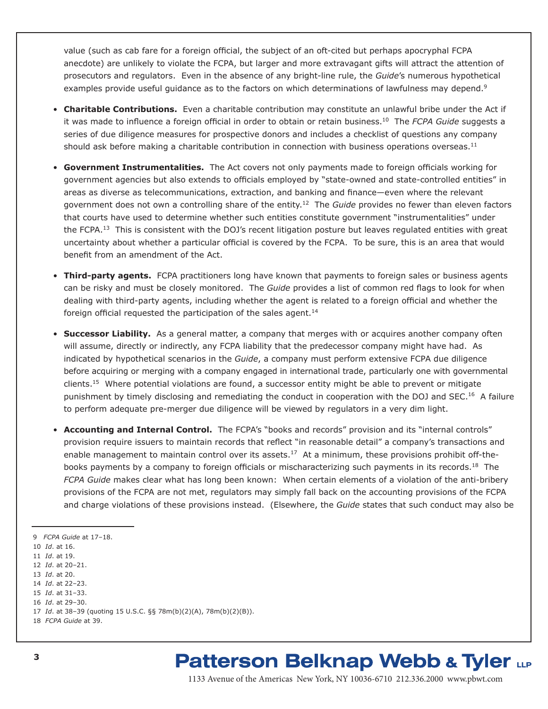value (such as cab fare for a foreign official, the subject of an oft-cited but perhaps apocryphal FCPA anecdote) are unlikely to violate the FCPA, but larger and more extravagant gifts will attract the attention of prosecutors and regulators. Even in the absence of any bright-line rule, the *Guide*'s numerous hypothetical examples provide useful guidance as to the factors on which determinations of lawfulness may depend.<sup>9</sup>

- **Charitable Contributions.** Even a charitable contribution may constitute an unlawful bribe under the Act if it was made to influence a foreign official in order to obtain or retain business.10 The *FCPA Guide* suggests a series of due diligence measures for prospective donors and includes a checklist of questions any company should ask before making a charitable contribution in connection with business operations overseas.<sup>11</sup>
- **Government Instrumentalities.** The Act covers not only payments made to foreign officials working for government agencies but also extends to officials employed by "state-owned and state-controlled entities" in areas as diverse as telecommunications, extraction, and banking and finance—even where the relevant government does not own a controlling share of the entity.12 The *Guide* provides no fewer than eleven factors that courts have used to determine whether such entities constitute government "instrumentalities" under the FCPA.<sup>13</sup> This is consistent with the DOJ's recent litigation posture but leaves regulated entities with great uncertainty about whether a particular official is covered by the FCPA. To be sure, this is an area that would benefit from an amendment of the Act.
- **Third-party agents.** FCPA practitioners long have known that payments to foreign sales or business agents can be risky and must be closely monitored. The *Guide* provides a list of common red flags to look for when dealing with third-party agents, including whether the agent is related to a foreign official and whether the foreign official requested the participation of the sales agent. $14$
- **Successor Liability.** As a general matter, a company that merges with or acquires another company often will assume, directly or indirectly, any FCPA liability that the predecessor company might have had. As indicated by hypothetical scenarios in the *Guide*, a company must perform extensive FCPA due diligence before acquiring or merging with a company engaged in international trade, particularly one with governmental clients.15 Where potential violations are found, a successor entity might be able to prevent or mitigate punishment by timely disclosing and remediating the conduct in cooperation with the DOJ and SEC.<sup>16</sup> A failure to perform adequate pre-merger due diligence will be viewed by regulators in a very dim light.
- **Accounting and Internal Control.** The FCPA's "books and records" provision and its "internal controls" provision require issuers to maintain records that reflect "in reasonable detail" a company's transactions and enable management to maintain control over its assets.<sup>17</sup> At a minimum, these provisions prohibit off-thebooks payments by a company to foreign officials or mischaracterizing such payments in its records.18 The *FCPA Guide* makes clear what has long been known: When certain elements of a violation of the anti-bribery provisions of the FCPA are not met, regulators may simply fall back on the accounting provisions of the FCPA and charge violations of these provisions instead. (Elsewhere, the *Guide* states that such conduct may also be

- 14 *Id*. at 22–23.
- 15 *Id*. at 31–33.
- 16 *Id*. at 29–30.

## **Patterson Belknap Webb & Tyler LLP**

1133 Avenue of the Americas New York, NY 10036-6710 212.336.2000 www.pbwt.com

<sup>9</sup> *FCPA Guide* at 17–18.

<sup>10</sup> *Id*. at 16.

<sup>11</sup> *Id*. at 19. 12 *Id*. at 20–21.

<sup>13</sup> *Id*. at 20.

<sup>17</sup> *Id*. at 38–39 (quoting 15 U.S.C. §§ 78m(b)(2)(A), 78m(b)(2)(B)).

<sup>18</sup> *FCPA Guide* at 39.